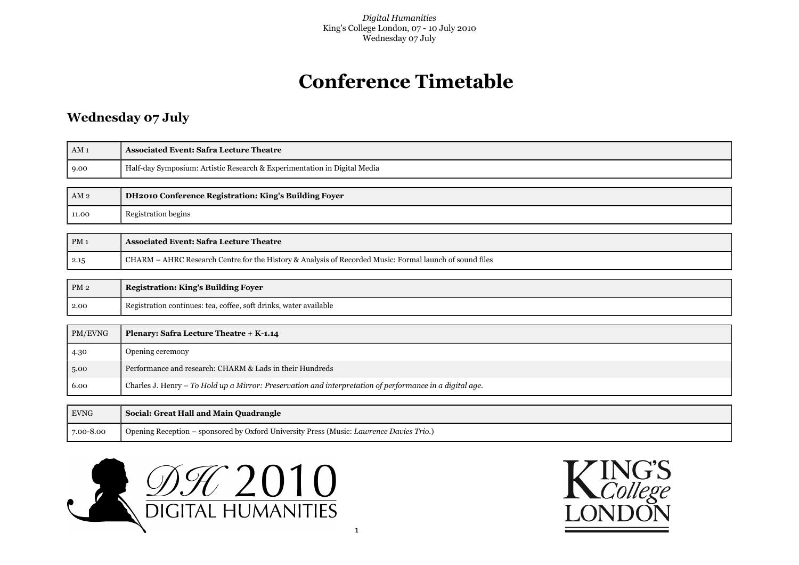# **Conference Timetable**

## **Wednesday 07 July**

| AM <sub>1</sub> | <b>Associated Event: Safra Lecture Theatre</b>                                                           |
|-----------------|----------------------------------------------------------------------------------------------------------|
| 9.00            | Half-day Symposium: Artistic Research & Experimentation in Digital Media                                 |
|                 |                                                                                                          |
| AM <sub>2</sub> | DH2010 Conference Registration: King's Building Foyer                                                    |
| 11.00           | <b>Registration begins</b>                                                                               |
|                 |                                                                                                          |
| PM <sub>1</sub> | <b>Associated Event: Safra Lecture Theatre</b>                                                           |
| 2.15            | CHARM - AHRC Research Centre for the History & Analysis of Recorded Music: Formal launch of sound files  |
|                 |                                                                                                          |
| PM2             | <b>Registration: King's Building Foyer</b>                                                               |
| 2.00            | Registration continues: tea, coffee, soft drinks, water available                                        |
|                 |                                                                                                          |
| PM/EVNG         | Plenary: Safra Lecture Theatre + K-1.14                                                                  |
| 4.30            | Opening ceremony                                                                                         |
| 5.00            | Performance and research: CHARM & Lads in their Hundreds                                                 |
| 6.00            | Charles J. Henry - To Hold up a Mirror: Preservation and interpretation of performance in a digital age. |
|                 |                                                                                                          |
| <b>EVNG</b>     | Social: Great Hall and Main Quadrangle                                                                   |
| 7.00-8.00       | Opening Reception - sponsored by Oxford University Press (Music: Lawrence Davies Trio.)                  |



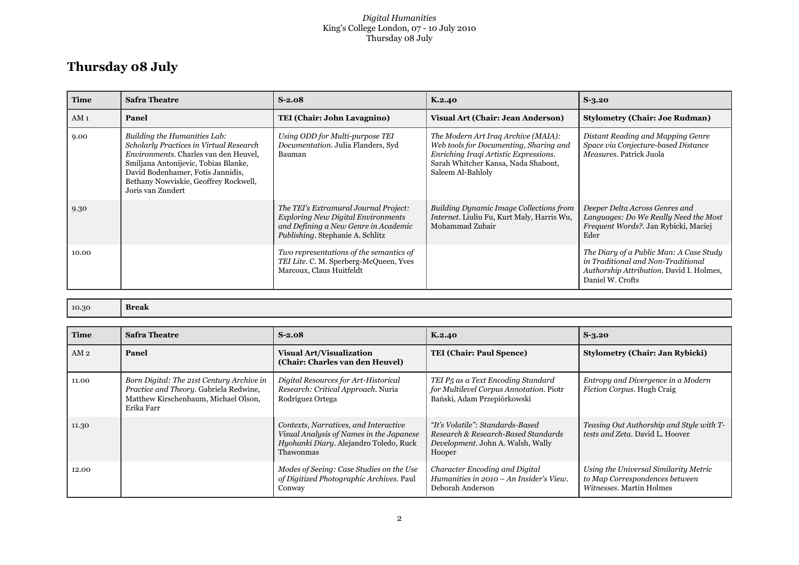#### *Digital Humanities* King's College London, 07 - 10 July 2010 Thursday 08 July

## **Thursday 08 July**

| Time            | <b>Safra Theatre</b>                                                                                                                                                                                                                                        | $S-2.08$                                                                                                                                                       | K.2.40                                                                                                                                                                             | $S-3.20$                                                                                                                                      |
|-----------------|-------------------------------------------------------------------------------------------------------------------------------------------------------------------------------------------------------------------------------------------------------------|----------------------------------------------------------------------------------------------------------------------------------------------------------------|------------------------------------------------------------------------------------------------------------------------------------------------------------------------------------|-----------------------------------------------------------------------------------------------------------------------------------------------|
| AM <sub>1</sub> | Panel                                                                                                                                                                                                                                                       | TEI (Chair: John Lavagnino)                                                                                                                                    | <b>Visual Art (Chair: Jean Anderson)</b>                                                                                                                                           | <b>Stylometry (Chair: Joe Rudman)</b>                                                                                                         |
| 9.00            | Building the Humanities Lab:<br>Scholarly Practices in Virtual Research<br>Environments. Charles van den Heuvel,<br>Smiljana Antonijevic, Tobias Blanke,<br>David Bodenhamer, Fotis Jannidis,<br>Bethany Nowviskie, Geoffrey Rockwell,<br>Joris van Zundert | Using ODD for Multi-purpose TEI<br>Documentation. Julia Flanders, Syd<br>Bauman                                                                                | The Modern Art Iraq Archive (MAIA):<br>Web tools for Documenting, Sharing and<br>Enriching Iraqi Artistic Expressions.<br>Sarah Whitcher Kansa, Nada Shabout,<br>Saleem Al-Bahloly | Distant Reading and Mapping Genre<br>Space via Conjecture-based Distance<br><i>Measures</i> , Patrick Juola                                   |
| 9.30            |                                                                                                                                                                                                                                                             | The TEI's Extramural Journal Project:<br><b>Exploring New Digital Environments</b><br>and Defining a New Genre in Academic<br>Publishing. Stephanie A. Schlitz | <b>Building Dynamic Image Collections from</b><br>Internet. Liuliu Fu, Kurt Maly, Harris Wu,<br>Mohammad Zubair                                                                    | Deeper Delta Across Genres and<br>Languages: Do We Really Need the Most<br>Frequent Words?. Jan Rybicki, Maciej<br>Eder                       |
| 10.00           |                                                                                                                                                                                                                                                             | Two representations of the semantics of<br>TEI Lite. C. M. Sperberg-McQueen, Yves<br>Marcoux, Claus Huitfeldt                                                  |                                                                                                                                                                                    | The Diary of a Public Man: A Case Study<br>in Traditional and Non-Traditional<br>Authorship Attribution. David I. Holmes,<br>Daniel W. Crofts |

| 10.30 | Break |
|-------|-------|
|-------|-------|

| <b>Time</b> | <b>Safra Theatre</b>                                                                                                                      | $S-2.08$                                                                                                                                 | K.2.40                                                                                                                 | $S-3.20$                                                                                            |
|-------------|-------------------------------------------------------------------------------------------------------------------------------------------|------------------------------------------------------------------------------------------------------------------------------------------|------------------------------------------------------------------------------------------------------------------------|-----------------------------------------------------------------------------------------------------|
| AM 2        | Panel                                                                                                                                     | <b>Visual Art/Visualization</b><br>(Chair: Charles van den Heuvel)                                                                       | <b>TEI (Chair: Paul Spence)</b>                                                                                        | <b>Stylometry (Chair: Jan Rybicki)</b>                                                              |
| 11.00       | Born Digital: The 21st Century Archive in<br>Practice and Theory. Gabriela Redwine,<br>Matthew Kirschenbaum, Michael Olson,<br>Erika Farr | Digital Resources for Art-Historical<br>Research: Critical Approach. Nuria<br>Rodríguez Ortega                                           | TEI P5 as a Text Encoding Standard<br>for Multilevel Corpus Annotation. Piotr<br>Bański, Adam Przepiórkowski           | Entropy and Divergence in a Modern<br>Fiction Corpus. Hugh Craig                                    |
| 11.30       |                                                                                                                                           | Contexts, Narratives, and Interactive<br>Visual Analysis of Names in the Japanese<br>Hyohanki Diary. Alejandro Toledo, Ruck<br>Thawonmas | "It's Volatile": Standards-Based<br>Research & Research-Based Standards<br>Development. John A. Walsh, Wally<br>Hooper | Teasing Out Authorship and Style with T-<br>tests and Zeta. David L. Hoover                         |
| 12.00       |                                                                                                                                           | Modes of Seeing: Case Studies on the Use<br>of Digitized Photographic Archives. Paul<br>Conway                                           | Character Encoding and Digital<br>Humanities in 2010 – An Insider's View.<br>Deborah Anderson                          | Using the Universal Similarity Metric<br>to Map Correspondences between<br>Witnesses. Martin Holmes |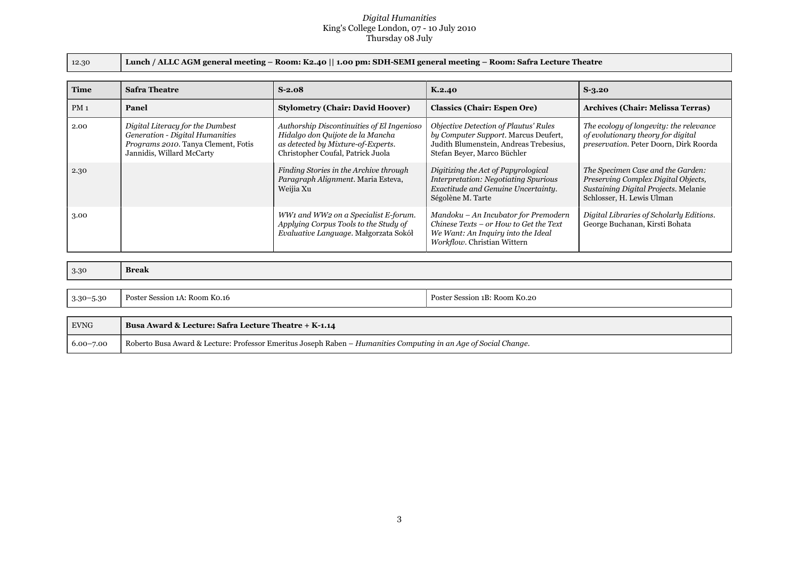#### *Digital Humanities* King's College London, 07 - 10 July 2010 Thursday 08 July

12.30 **Lunch / ALLC AGM general meeting – Room: K2.40 || 1.00 pm: SDH-SEMI general meeting – Room: Safra Lecture Theatre**

| <b>Time</b> | <b>Safra Theatre</b>                                                                                                                    | $S-2.08$                                                                                                                                                  | K.2.40                                                                                                                                                 | $S-3.20$                                                                                                                                      |
|-------------|-----------------------------------------------------------------------------------------------------------------------------------------|-----------------------------------------------------------------------------------------------------------------------------------------------------------|--------------------------------------------------------------------------------------------------------------------------------------------------------|-----------------------------------------------------------------------------------------------------------------------------------------------|
| $PM_1$      | Panel                                                                                                                                   | <b>Stylometry (Chair: David Hoover)</b>                                                                                                                   | <b>Classics (Chair: Espen Ore)</b>                                                                                                                     | Archives (Chair: Melissa Terras)                                                                                                              |
| 2.00        | Digital Literacy for the Dumbest<br>Generation - Digital Humanities<br>Programs 2010. Tanya Clement, Fotis<br>Jannidis, Willard McCarty | Authorship Discontinuities of El Ingenioso<br>Hidalgo don Quijote de la Mancha<br>as detected by Mixture-of-Experts.<br>Christopher Coufal, Patrick Juola | Objective Detection of Plautus' Rules<br>by Computer Support. Marcus Deufert,<br>Judith Blumenstein, Andreas Trebesius,<br>Stefan Beyer, Marco Büchler | The ecology of longevity: the relevance<br>of evolutionary theory for digital<br>preservation. Peter Doorn, Dirk Roorda                       |
| 2.30        |                                                                                                                                         | Finding Stories in the Archive through<br>Paragraph Alignment. Maria Esteva,<br>Weijia Xu                                                                 | Digitizing the Act of Papyrological<br><b>Interpretation: Negotiating Spurious</b><br>Exactitude and Genuine Uncertainty.<br>Ségolène M. Tarte         | The Specimen Case and the Garden:<br>Preserving Complex Digital Objects,<br>Sustaining Digital Projects. Melanie<br>Schlosser, H. Lewis Ulman |
| 3.00        |                                                                                                                                         | WW1 and WW2 on a Specialist E-forum.<br>Applying Corpus Tools to the Study of<br>Evaluative Language. Małgorzata Sokół                                    | Mandoku - An Incubator for Premodern<br>Chinese Texts - or How to Get the Text<br>We Want: An Inquiry into the Ideal<br>Workflow. Christian Wittern    | Digital Libraries of Scholarly Editions.<br>George Buchanan, Kirsti Bohata                                                                    |

| 3.30          | <b>Break</b>                  |                               |
|---------------|-------------------------------|-------------------------------|
|               |                               |                               |
| $3.30 - 5.30$ | Poster Session 1A: Room Ko.16 | Poster Session 1B: Room Ko.20 |

| <b>EVNG</b>   | Busa Award & Lecture: Safra Lecture Theatre + K-1.14                                                                       |
|---------------|----------------------------------------------------------------------------------------------------------------------------|
| $6.00 - 7.00$ | . Roberto Busa Award & Lecture: Professor Emeritus Joseph Raben – <i>Humanities Computing in an Age of Social Change</i> . |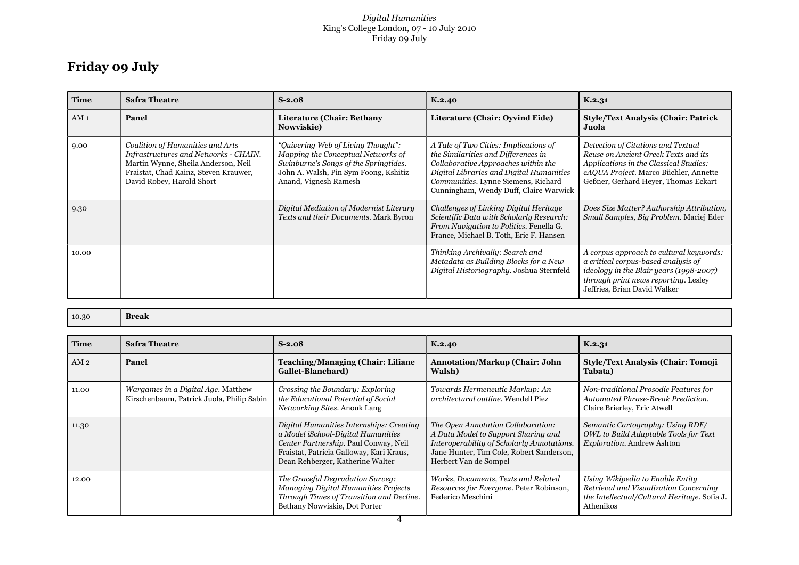#### *Digital Humanities* King's College London, 07 - 10 July 2010 Friday 09 July

## **Friday 09 July**

| <b>Time</b>     | <b>Safra Theatre</b>                                                                                                                                                                   | $S-2.08$                                                                                                                                                                            | K.2.40                                                                                                                                                                                                                                           | K.2.31                                                                                                                                                                                                |
|-----------------|----------------------------------------------------------------------------------------------------------------------------------------------------------------------------------------|-------------------------------------------------------------------------------------------------------------------------------------------------------------------------------------|--------------------------------------------------------------------------------------------------------------------------------------------------------------------------------------------------------------------------------------------------|-------------------------------------------------------------------------------------------------------------------------------------------------------------------------------------------------------|
| AM <sub>1</sub> | Panel                                                                                                                                                                                  | Literature (Chair: Bethany<br>Nowviskie)                                                                                                                                            | Literature (Chair: Oyvind Eide)                                                                                                                                                                                                                  | <b>Style/Text Analysis (Chair: Patrick</b><br>Juola                                                                                                                                                   |
| 9.00            | Coalition of Humanities and Arts<br>Infrastructures and Networks - CHAIN.<br>Martin Wynne, Sheila Anderson, Neil<br>Fraistat, Chad Kainz, Steven Krauwer,<br>David Robey, Harold Short | "Quivering Web of Living Thought":<br>Mapping the Conceptual Networks of<br>Swinburne's Songs of the Springtides.<br>John A. Walsh, Pin Sym Foong, Kshitiz<br>Anand, Vignesh Ramesh | A Tale of Two Cities: Implications of<br>the Similarities and Differences in<br>Collaborative Approaches within the<br>Digital Libraries and Digital Humanities<br>Communities. Lynne Siemens, Richard<br>Cunningham, Wendy Duff, Claire Warwick | Detection of Citations and Textual<br>Reuse on Ancient Greek Texts and its<br>Applications in the Classical Studies:<br>eAQUA Project. Marco Büchler, Annette<br>Geßner, Gerhard Heyer, Thomas Eckart |
| 9.30            |                                                                                                                                                                                        | Digital Mediation of Modernist Literary<br>Texts and their Documents. Mark Byron                                                                                                    | Challenges of Linking Digital Heritage<br>Scientific Data with Scholarly Research:<br>From Navigation to Politics. Fenella G.<br>France, Michael B. Toth, Eric F. Hansen                                                                         | Does Size Matter? Authorship Attribution,<br>Small Samples, Big Problem. Maciej Eder                                                                                                                  |
| 10.00           |                                                                                                                                                                                        |                                                                                                                                                                                     | Thinking Archivally: Search and<br>Metadata as Building Blocks for a New<br>Digital Historiography. Joshua Sternfeld                                                                                                                             | A corpus approach to cultural keywords:<br>a critical corpus-based analysis of<br>ideology in the Blair years (1998-2007)<br>through print news reporting. Lesley<br>Jeffries, Brian David Walker     |

| 10.30 | Break |
|-------|-------|
|       |       |

| <b>Time</b>     | <b>Safra Theatre</b>                                                            | $S-2.08$                                                                                                                                                                                                | K.2.40                                                                                                                                                                                       | K.2.31                                                                                                                                  |
|-----------------|---------------------------------------------------------------------------------|---------------------------------------------------------------------------------------------------------------------------------------------------------------------------------------------------------|----------------------------------------------------------------------------------------------------------------------------------------------------------------------------------------------|-----------------------------------------------------------------------------------------------------------------------------------------|
| AM <sub>2</sub> | Panel                                                                           | <b>Teaching/Managing (Chair: Liliane</b><br>Gallet-Blanchard)                                                                                                                                           | <b>Annotation/Markup (Chair: John</b><br>Walsh)                                                                                                                                              | <b>Style/Text Analysis (Chair: Tomoji</b><br>Tabata)                                                                                    |
| 11.00           | Wargames in a Digital Age. Matthew<br>Kirschenbaum, Patrick Juola, Philip Sabin | Crossing the Boundary: Exploring<br>the Educational Potential of Social<br>Networking Sites. Anouk Lang                                                                                                 | Towards Hermeneutic Markup: An<br>architectural outline. Wendell Piez                                                                                                                        | Non-traditional Prosodic Features for<br>Automated Phrase-Break Prediction.<br>Claire Brierley, Eric Atwell                             |
| 11.30           |                                                                                 | Digital Humanities Internships: Creating<br>a Model iSchool-Digital Humanities<br>Center Partnership. Paul Conway, Neil<br>Fraistat, Patricia Galloway, Kari Kraus,<br>Dean Rehberger, Katherine Walter | The Open Annotation Collaboration:<br>A Data Model to Support Sharing and<br>Interoperability of Scholarly Annotations.<br>Jane Hunter, Tim Cole, Robert Sanderson,<br>Herbert Van de Sompel | Semantic Cartography: Using RDF/<br>OWL to Build Adaptable Tools for Text<br>Exploration. Andrew Ashton                                 |
| 12.00           |                                                                                 | The Graceful Degradation Survey:<br><b>Managing Digital Humanities Projects</b><br>Through Times of Transition and Decline.<br>Bethany Nowviskie, Dot Porter                                            | Works, Documents, Texts and Related<br>Resources for Everyone. Peter Robinson,<br>Federico Meschini                                                                                          | Using Wikipedia to Enable Entity<br>Retrieval and Visualization Concerning<br>the Intellectual/Cultural Heritage. Sofia J.<br>Athenikos |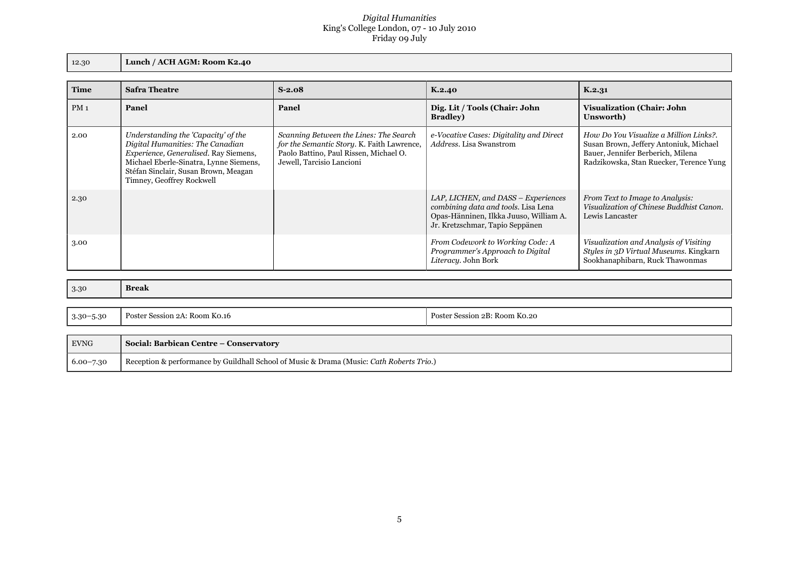#### *Digital Humanities* King's College London, 07 - 10 July 2010 Friday 09 July

12.30 **Lunch / ACH AGM: Room K2.40**

| <b>Time</b>     | <b>Safra Theatre</b>                                                                                                                                                                                                            | $S-2.08$                                                                                                                                                    | K.2.40                                                                                                                                                  | K.2.31                                                                                                                                                           |
|-----------------|---------------------------------------------------------------------------------------------------------------------------------------------------------------------------------------------------------------------------------|-------------------------------------------------------------------------------------------------------------------------------------------------------------|---------------------------------------------------------------------------------------------------------------------------------------------------------|------------------------------------------------------------------------------------------------------------------------------------------------------------------|
| PM <sub>1</sub> | Panel                                                                                                                                                                                                                           | Panel                                                                                                                                                       | Dig. Lit / Tools (Chair: John<br><b>Bradley</b> )                                                                                                       | <b>Visualization (Chair: John</b><br>Unsworth)                                                                                                                   |
| 2.00            | Understanding the 'Capacity' of the<br>Digital Humanities: The Canadian<br>Experience, Generalised. Ray Siemens,<br>Michael Eberle-Sinatra, Lynne Siemens,<br>Stéfan Sinclair, Susan Brown, Meagan<br>Timney, Geoffrey Rockwell | Scanning Between the Lines: The Search<br>for the Semantic Story. K. Faith Lawrence,<br>Paolo Battino, Paul Rissen, Michael O.<br>Jewell, Tarcisio Lancioni | e-Vocative Cases: Digitality and Direct<br>Address. Lisa Swanstrom                                                                                      | How Do You Visualize a Million Links?.<br>Susan Brown, Jeffery Antoniuk, Michael<br>Bauer, Jennifer Berberich, Milena<br>Radzikowska, Stan Ruecker, Terence Yung |
| 2.30            |                                                                                                                                                                                                                                 |                                                                                                                                                             | LAP, LICHEN, and DASS – Experiences<br>combining data and tools. Lisa Lena<br>Opas-Hänninen, Ilkka Juuso, William A.<br>Jr. Kretzschmar, Tapio Seppänen | From Text to Image to Analysis:<br>Visualization of Chinese Buddhist Canon.<br>Lewis Lancaster                                                                   |
| 3.00            |                                                                                                                                                                                                                                 |                                                                                                                                                             | From Codework to Working Code: A<br>Programmer's Approach to Digital<br>Literacy. John Bork                                                             | Visualization and Analysis of Visiting<br>Styles in 3D Virtual Museums. Kingkarn<br>Sookhanaphibarn, Ruck Thawonmas                                              |

| 3.30          | <b>Break</b>                  |                               |
|---------------|-------------------------------|-------------------------------|
|               |                               |                               |
| $3.30 - 5.30$ | Poster Session 2A: Room Ko.16 | Poster Session 2B: Room Ko.20 |

| <b>EVNG</b>   | Social: Barbican Centre – Conservatory                                                   |
|---------------|------------------------------------------------------------------------------------------|
| $6.00 - 7.30$ | Reception & performance by Guildhall School of Music & Drama (Music: Cath Roberts Trio.) |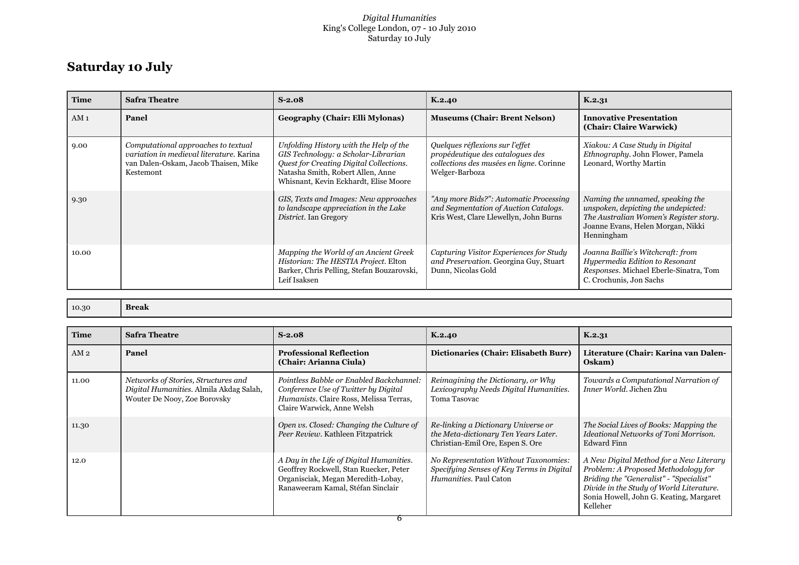#### *Digital Humanities* King's College London, 07 - 10 July 2010 Saturday 10 July

## **Saturday 10 July**

| <b>Time</b>     | <b>Safra Theatre</b>                                                                                                                 | $S-2.08$                                                                                                                                                                                               | K.2.40                                                                                                                            | K.2.31                                                                                                                                                               |
|-----------------|--------------------------------------------------------------------------------------------------------------------------------------|--------------------------------------------------------------------------------------------------------------------------------------------------------------------------------------------------------|-----------------------------------------------------------------------------------------------------------------------------------|----------------------------------------------------------------------------------------------------------------------------------------------------------------------|
| AM <sub>1</sub> | Panel                                                                                                                                | Geography (Chair: Elli Mylonas)                                                                                                                                                                        | <b>Museums (Chair: Brent Nelson)</b>                                                                                              | <b>Innovative Presentation</b><br>(Chair: Claire Warwick)                                                                                                            |
| 9.00            | Computational approaches to textual<br>variation in medieval literature. Karina<br>van Dalen-Oskam, Jacob Thaisen, Mike<br>Kestemont | Unfolding History with the Help of the<br>GIS Technology: a Scholar-Librarian<br>Quest for Creating Digital Collections.<br>Natasha Smith, Robert Allen, Anne<br>Whisnant, Kevin Eckhardt, Elise Moore | Quelques réflexions sur l'effet<br>propédeutique des catalogues des<br>collections des musées en ligne. Corinne<br>Welger-Barboza | Xiakou: A Case Study in Digital<br>Ethnography. John Flower, Pamela<br>Leonard, Worthy Martin                                                                        |
| 9.30            |                                                                                                                                      | GIS, Texts and Images: New approaches<br>to landscape appreciation in the Lake<br>District. Ian Gregory                                                                                                | "Any more Bids?": Automatic Processing<br>and Segmentation of Auction Catalogs.<br>Kris West, Clare Llewellyn, John Burns         | Naming the unnamed, speaking the<br>unspoken, depicting the undepicted:<br>The Australian Women's Register story.<br>Joanne Evans, Helen Morgan, Nikki<br>Henningham |
| 10.00           |                                                                                                                                      | Mapping the World of an Ancient Greek<br>Historian: The HESTIA Project. Elton<br>Barker, Chris Pelling, Stefan Bouzarovski,<br>Leif Isaksen                                                            | Capturing Visitor Experiences for Study<br>and Preservation. Georgina Guy, Stuart<br>Dunn, Nicolas Gold                           | Joanna Baillie's Witchcraft: from<br>Hypermedia Edition to Resonant<br>Responses. Michael Eberle-Sinatra, Tom<br>C. Crochunis, Jon Sachs                             |

10.30 **Break**

| <b>Time</b> | <b>Safra Theatre</b>                                                                                           | $S-2.08$                                                                                                                                                      | K.2.40                                                                                                          | K.2.31                                                                                                                                                                                                                       |
|-------------|----------------------------------------------------------------------------------------------------------------|---------------------------------------------------------------------------------------------------------------------------------------------------------------|-----------------------------------------------------------------------------------------------------------------|------------------------------------------------------------------------------------------------------------------------------------------------------------------------------------------------------------------------------|
| AM 2        | Panel                                                                                                          | <b>Professional Reflection</b><br>(Chair: Arianna Ciula)                                                                                                      | Dictionaries (Chair: Elisabeth Burr)                                                                            | Literature (Chair: Karina van Dalen-<br>Oskam)                                                                                                                                                                               |
| 11.00       | Networks of Stories, Structures and<br>Digital Humanities. Almila Akdag Salah,<br>Wouter De Nooy, Zoe Borovsky | Pointless Babble or Enabled Backchannel:<br>Conference Use of Twitter by Digital<br>Humanists. Claire Ross, Melissa Terras,<br>Claire Warwick, Anne Welsh     | Reimagining the Dictionary, or Why<br>Lexicography Needs Digital Humanities.<br>Toma Tasovac                    | Towards a Computational Narration of<br><i>Inner World</i> , Jichen Zhu                                                                                                                                                      |
| 11.30       |                                                                                                                | Open vs. Closed: Changing the Culture of<br>Peer Review. Kathleen Fitzpatrick                                                                                 | Re-linking a Dictionary Universe or<br>the Meta-dictionary Ten Years Later.<br>Christian-Emil Ore, Espen S. Ore | The Social Lives of Books: Mapping the<br>Ideational Networks of Toni Morrison.<br><b>Edward Finn</b>                                                                                                                        |
| 12.0        |                                                                                                                | A Day in the Life of Digital Humanities.<br>Geoffrey Rockwell, Stan Ruecker, Peter<br>Organisciak, Megan Meredith-Lobay,<br>Ranaweeram Kamal, Stéfan Sinclair | No Representation Without Taxonomies:<br>Specifying Senses of Key Terms in Digital<br>Humanities. Paul Caton    | A New Digital Method for a New Literary<br>Problem: A Proposed Methodology for<br>Briding the "Generalist" - "Specialist"<br>Divide in the Study of World Literature.<br>Sonia Howell, John G. Keating, Margaret<br>Kelleher |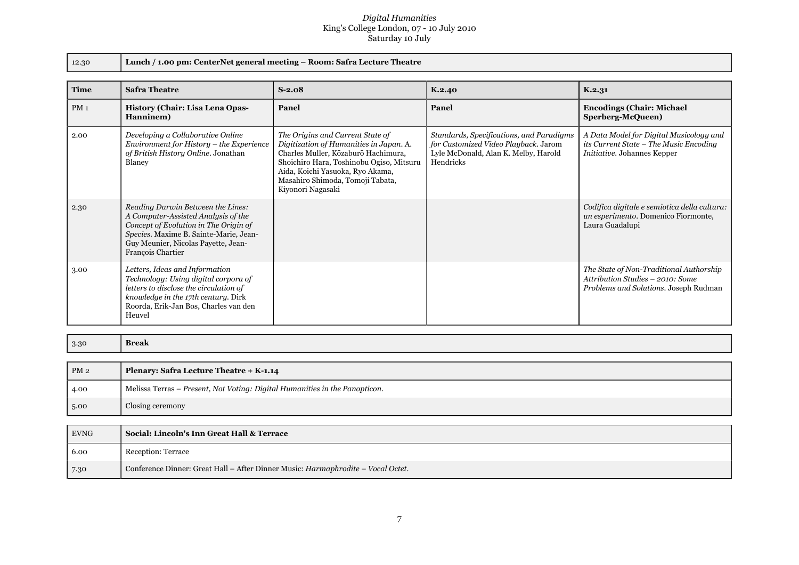#### *Digital Humanities* King's College London, 07 - 10 July 2010 Saturday 10 July

| $\Omega$ | 2.30 |
|----------|------|
|          |      |

12.30 **Lunch / 1.00 pm: CenterNet general meeting – Room: Safra Lecture Theatre**

| <b>Time</b>     | <b>Safra Theatre</b>                                                                                                                                                                                                    | $S-2.08$                                                                                                                                                                                                                                                    | K.2.40                                                                                                                                | K.2.31                                                                                                                  |
|-----------------|-------------------------------------------------------------------------------------------------------------------------------------------------------------------------------------------------------------------------|-------------------------------------------------------------------------------------------------------------------------------------------------------------------------------------------------------------------------------------------------------------|---------------------------------------------------------------------------------------------------------------------------------------|-------------------------------------------------------------------------------------------------------------------------|
| PM <sub>1</sub> | <b>History (Chair: Lisa Lena Opas-</b><br>Hanninem)                                                                                                                                                                     | Panel                                                                                                                                                                                                                                                       | Panel                                                                                                                                 | <b>Encodings (Chair: Michael)</b><br>Sperberg-McQueen)                                                                  |
| 2.00            | Developing a Collaborative Online<br>Environment for History - the Experience<br>of British History Online. Jonathan<br>Blaney                                                                                          | The Origins and Current State of<br>Digitization of Humanities in Japan. A.<br>Charles Muller, Kōzaburō Hachimura,<br>Shoichiro Hara, Toshinobu Ogiso, Mitsuru<br>Aida, Koichi Yasuoka, Ryo Akama,<br>Masahiro Shimoda, Tomoji Tabata,<br>Kiyonori Nagasaki | Standards, Specifications, and Paradigms<br>for Customized Video Playback. Jarom<br>Lyle McDonald, Alan K. Melby, Harold<br>Hendricks | A Data Model for Digital Musicology and<br>its Current State - The Music Encoding<br><i>Initiative.</i> Johannes Kepper |
| 2.30            | Reading Darwin Between the Lines:<br>A Computer-Assisted Analysis of the<br>Concept of Evolution in The Origin of<br>Species. Maxime B. Sainte-Marie, Jean-<br>Guy Meunier, Nicolas Payette, Jean-<br>François Chartier |                                                                                                                                                                                                                                                             |                                                                                                                                       | Codifica digitale e semiotica della cultura:<br>un esperimento. Domenico Fiormonte,<br>Laura Guadalupi                  |
| 3.00            | Letters, Ideas and Information<br>Technology: Using digital corpora of<br>letters to disclose the circulation of<br>knowledge in the 17th century. Dirk<br>Roorda, Erik-Jan Bos, Charles van den<br>Heuvel              |                                                                                                                                                                                                                                                             |                                                                                                                                       | The State of Non-Traditional Authorship<br>Attribution Studies - 2010: Some<br>Problems and Solutions. Joseph Rudman    |

3.30 **Break**

| Melissa Terras – Present, Not Voting: Digital Humanities in the Panopticon.<br>4.00<br>Closing ceremony<br>5.00 | PM <sub>2</sub> | Plenary: Safra Lecture Theatre + K-1.14 |
|-----------------------------------------------------------------------------------------------------------------|-----------------|-----------------------------------------|
|                                                                                                                 |                 |                                         |
|                                                                                                                 |                 |                                         |

| <b>EVNG</b> | <b>Social: Lincoln's Inn Great Hall &amp; Terrace</b>                            |
|-------------|----------------------------------------------------------------------------------|
| 6.00        | Reception: Terrace                                                               |
| 7.30        | Conference Dinner: Great Hall – After Dinner Music: Harmaphrodite – Vocal Octet. |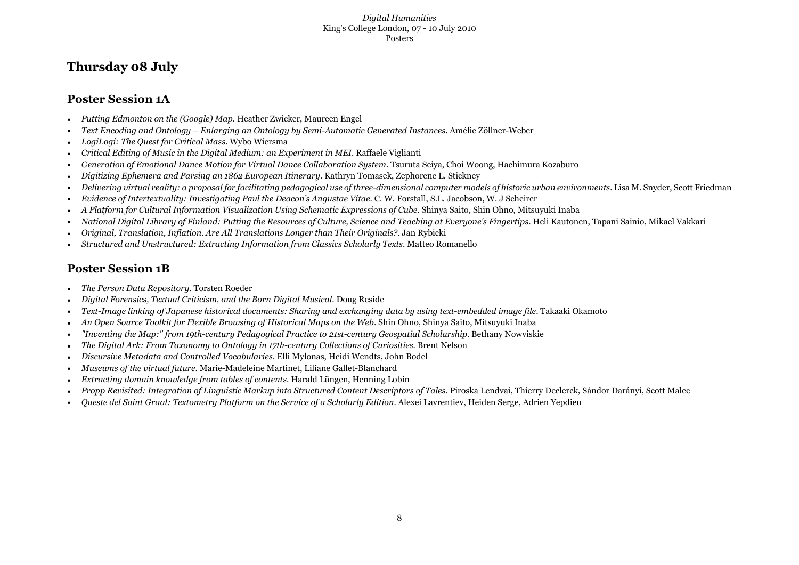#### *Digital Humanities* King's College London, 07 - 10 July 2010 Posters

## **Thursday 08 July**

### **Poster Session 1A**

- *Putting Edmonton on the (Google) Map*. Heather Zwicker, Maureen Engel
- *Text Encoding and Ontology Enlarging an Ontology by Semi-Automatic Generated Instances*. Amélie Zöllner-Weber
- *LogiLogi: The Quest for Critical Mass*. Wybo Wiersma
- *Critical Editing of Music in the Digital Medium: an Experiment in MEI*. Raffaele Viglianti
- *Generation of Emotional Dance Motion for Virtual Dance Collaboration System*. Tsuruta Seiya, Choi Woong, Hachimura Kozaburo
- *Digitizing Ephemera and Parsing an 1862 European Itinerary*. Kathryn Tomasek, Zephorene L. Stickney
- *Delivering virtual reality: a proposal for facilitating pedagogical use of three-dimensional computer models of historic urban environments*. Lisa M. Snyder, Scott Friedman
- *Evidence of Intertextuality: Investigating Paul the Deacon's Angustae Vitae*. C. W. Forstall, S.L. Jacobson, W. J Scheirer
- *A Platform for Cultural Information Visualization Using Schematic Expressions of Cube*. Shinya Saito, Shin Ohno, Mitsuyuki Inaba
- *National Digital Library of Finland: Putting the Resources of Culture, Science and Teaching at Everyone's Fingertips*. Heli Kautonen, Tapani Sainio, Mikael Vakkari
- *Original, Translation, Inflation. Are All Translations Longer than Their Originals?*. Jan Rybicki
- *Structured and Unstructured: Extracting Information from Classics Scholarly Texts*. Matteo Romanello

### **Poster Session 1B**

- *The Person Data Repository*. Torsten Roeder
- *Digital Forensics, Textual Criticism, and the Born Digital Musical*. Doug Reside
- *Text-Image linking of Japanese historical documents: Sharing and exchanging data by using text-embedded image file*. Takaaki Okamoto
- *An Open Source Toolkit for Flexible Browsing of Historical Maps on the Web*. Shin Ohno, Shinya Saito, Mitsuyuki Inaba
- *"Inventing the Map:" from 19th-century Pedagogical Practice to 21st-century Geospatial Scholarship*. Bethany Nowviskie
- *The Digital Ark: From Taxonomy to Ontology in 17th-century Collections of Curiosities*. Brent Nelson
- *Discursive Metadata and Controlled Vocabularies*. Elli Mylonas, Heidi Wendts, John Bodel
- *Museums of the virtual future*. Marie-Madeleine Martinet, Liliane Gallet-Blanchard
- *Extracting domain knowledge from tables of contents*. Harald Lüngen, Henning Lobin
- *Propp Revisited: Integration of Linguistic Markup into Structured Content Descriptors of Tales*. Piroska Lendvai, Thierry Declerck, Sándor Darányi, Scott Malec
- *Queste del Saint Graal: Textometry Platform on the Service of a Scholarly Edition*. Alexei Lavrentiev, Heiden Serge, Adrien Yepdieu